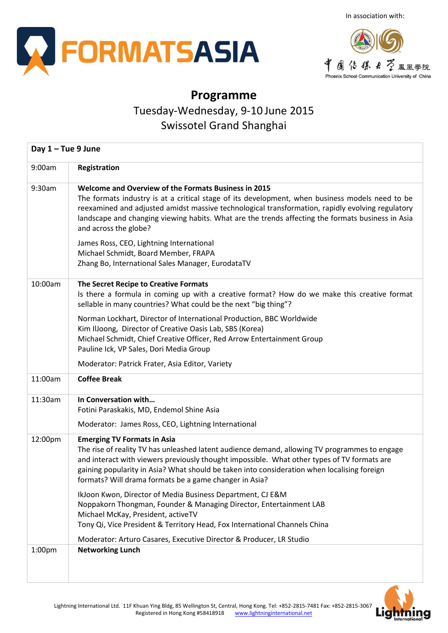



## **Programme**

Tuesday-Wednesday, 9-10 June 2015

Swissotel Grand Shanghai

| Day $1 -$ Tue 9 June |                                                                                                                                                                                                                                                                                                                                                                                                                                                                                                                                                                                                                                                     |  |  |  |  |
|----------------------|-----------------------------------------------------------------------------------------------------------------------------------------------------------------------------------------------------------------------------------------------------------------------------------------------------------------------------------------------------------------------------------------------------------------------------------------------------------------------------------------------------------------------------------------------------------------------------------------------------------------------------------------------------|--|--|--|--|
| 9:00am               | Registration                                                                                                                                                                                                                                                                                                                                                                                                                                                                                                                                                                                                                                        |  |  |  |  |
| 9:30am               | Welcome and Overview of the Formats Business in 2015<br>The formats industry is at a critical stage of its development, when business models need to be<br>reexamined and adjusted amidst massive technological transformation, rapidly evolving regulatory<br>landscape and changing viewing habits. What are the trends affecting the formats business in Asia<br>and across the globe?<br>James Ross, CEO, Lightning International<br>Michael Schmidt, Board Member, FRAPA<br>Zhang Bo, International Sales Manager, EurodataTV                                                                                                                  |  |  |  |  |
| 10:00am              | The Secret Recipe to Creative Formats<br>Is there a formula in coming up with a creative format? How do we make this creative format<br>sellable in many countries? What could be the next "big thing"?<br>Norman Lockhart, Director of International Production, BBC Worldwide<br>Kim IlJoong, Director of Creative Oasis Lab, SBS (Korea)<br>Michael Schmidt, Chief Creative Officer, Red Arrow Entertainment Group<br>Pauline Ick, VP Sales, Dori Media Group<br>Moderator: Patrick Frater, Asia Editor, Variety                                                                                                                                 |  |  |  |  |
| 11:00am              | <b>Coffee Break</b>                                                                                                                                                                                                                                                                                                                                                                                                                                                                                                                                                                                                                                 |  |  |  |  |
| 11:30am              | In Conversation with<br>Fotini Paraskakis, MD, Endemol Shine Asia<br>Moderator: James Ross, CEO, Lightning International                                                                                                                                                                                                                                                                                                                                                                                                                                                                                                                            |  |  |  |  |
| 12:00pm              | <b>Emerging TV Formats in Asia</b><br>The rise of reality TV has unleashed latent audience demand, allowing TV programmes to engage<br>and interact with viewers previously thought impossible. What other types of TV formats are<br>gaining popularity in Asia? What should be taken into consideration when localising foreign<br>formats? Will drama formats be a game changer in Asia?<br>IkJoon Kwon, Director of Media Business Department, CJ E&M<br>Noppakorn Thongman, Founder & Managing Director, Entertainment LAB<br>Michael McKay, President, activeTV<br>Tony Qi, Vice President & Territory Head, Fox International Channels China |  |  |  |  |
| 1:00 <sub>pm</sub>   | Moderator: Arturo Casares, Executive Director & Producer, LR Studio<br><b>Networking Lunch</b>                                                                                                                                                                                                                                                                                                                                                                                                                                                                                                                                                      |  |  |  |  |

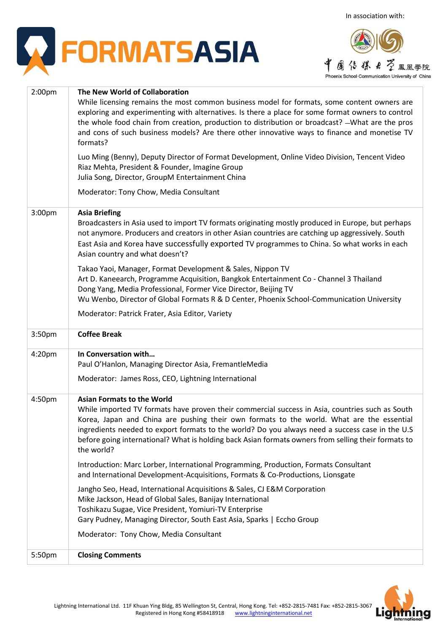



| 2:00 <sub>pm</sub> | The New World of Collaboration<br>While licensing remains the most common business model for formats, some content owners are<br>exploring and experimenting with alternatives. Is there a place for some format owners to control<br>the whole food chain from creation, production to distribution or broadcast? - What are the pros<br>and cons of such business models? Are there other innovative ways to finance and monetise TV<br>formats?        |  |  |  |  |
|--------------------|-----------------------------------------------------------------------------------------------------------------------------------------------------------------------------------------------------------------------------------------------------------------------------------------------------------------------------------------------------------------------------------------------------------------------------------------------------------|--|--|--|--|
|                    | Luo Ming (Benny), Deputy Director of Format Development, Online Video Division, Tencent Video<br>Riaz Mehta, President & Founder, Imagine Group<br>Julia Song, Director, GroupM Entertainment China                                                                                                                                                                                                                                                       |  |  |  |  |
|                    | Moderator: Tony Chow, Media Consultant                                                                                                                                                                                                                                                                                                                                                                                                                    |  |  |  |  |
| 3:00pm             | <b>Asia Briefing</b><br>Broadcasters in Asia used to import TV formats originating mostly produced in Europe, but perhaps<br>not anymore. Producers and creators in other Asian countries are catching up aggressively. South<br>East Asia and Korea have successfully exported TV programmes to China. So what works in each<br>Asian country and what doesn't?                                                                                          |  |  |  |  |
|                    | Takao Yaoi, Manager, Format Development & Sales, Nippon TV<br>Art D. Kaneearch, Programme Acquisition, Bangkok Entertainment Co - Channel 3 Thailand<br>Dong Yang, Media Professional, Former Vice Director, Beijing TV<br>Wu Wenbo, Director of Global Formats R & D Center, Phoenix School-Communication University                                                                                                                                     |  |  |  |  |
|                    | Moderator: Patrick Frater, Asia Editor, Variety                                                                                                                                                                                                                                                                                                                                                                                                           |  |  |  |  |
| 3:50pm             | <b>Coffee Break</b>                                                                                                                                                                                                                                                                                                                                                                                                                                       |  |  |  |  |
| 4:20pm             | In Conversation with<br>Paul O'Hanlon, Managing Director Asia, FremantleMedia<br>Moderator: James Ross, CEO, Lightning International                                                                                                                                                                                                                                                                                                                      |  |  |  |  |
| 4:50pm             | <b>Asian Formats to the World</b><br>While imported TV formats have proven their commercial success in Asia, countries such as South<br>Korea, Japan and China are pushing their own formats to the world. What are the essential<br>ingredients needed to export formats to the world? Do you always need a success case in the U.S<br>before going international? What is holding back Asian formats owners from selling their formats to<br>the world? |  |  |  |  |
|                    | Introduction: Marc Lorber, International Programming, Production, Formats Consultant<br>and International Development-Acquisitions, Formats & Co-Productions, Lionsgate                                                                                                                                                                                                                                                                                   |  |  |  |  |
|                    | Jangho Seo, Head, International Acquisitions & Sales, CJ E&M Corporation<br>Mike Jackson, Head of Global Sales, Banijay International<br>Toshikazu Sugae, Vice President, Yomiuri-TV Enterprise<br>Gary Pudney, Managing Director, South East Asia, Sparks   Eccho Group                                                                                                                                                                                  |  |  |  |  |
|                    | Moderator: Tony Chow, Media Consultant                                                                                                                                                                                                                                                                                                                                                                                                                    |  |  |  |  |
| 5:50pm             | <b>Closing Comments</b>                                                                                                                                                                                                                                                                                                                                                                                                                                   |  |  |  |  |